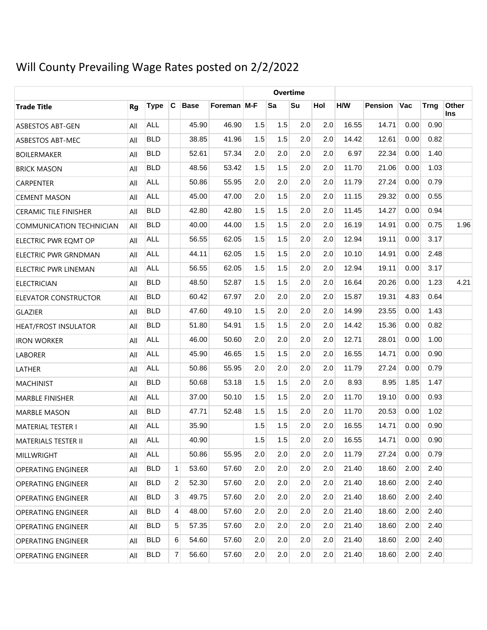# Will County Prevailing Wage Rates posted on 2/2/2022

|                              |     |             |              |             |             | <b>Overtime</b> |     |     |     |       |                |      |             |              |
|------------------------------|-----|-------------|--------------|-------------|-------------|-----------------|-----|-----|-----|-------|----------------|------|-------------|--------------|
| <b>Trade Title</b>           | Rg  | <b>Type</b> | C            | <b>Base</b> | Foreman M-F |                 | Sa  | Su  | Hol | H/W   | <b>Pension</b> | Vac  | <b>Trng</b> | Other<br>Ins |
| <b>ASBESTOS ABT-GEN</b>      | All | <b>ALL</b>  |              | 45.90       | 46.90       | 1.5             | 1.5 | 2.0 | 2.0 | 16.55 | 14.71          | 0.00 | 0.90        |              |
| ASBESTOS ABT-MEC             | All | <b>BLD</b>  |              | 38.85       | 41.96       | 1.5             | 1.5 | 2.0 | 2.0 | 14.42 | 12.61          | 0.00 | 0.82        |              |
| <b>BOILERMAKER</b>           | All | <b>BLD</b>  |              | 52.61       | 57.34       | 2.0             | 2.0 | 2.0 | 2.0 | 6.97  | 22.34          | 0.00 | 1.40        |              |
| <b>BRICK MASON</b>           | All | <b>BLD</b>  |              | 48.56       | 53.42       | 1.5             | 1.5 | 2.0 | 2.0 | 11.70 | 21.06          | 0.00 | 1.03        |              |
| <b>CARPENTER</b>             | All | <b>ALL</b>  |              | 50.86       | 55.95       | 2.0             | 2.0 | 2.0 | 2.0 | 11.79 | 27.24          | 0.00 | 0.79        |              |
| <b>CEMENT MASON</b>          | All | <b>ALL</b>  |              | 45.00       | 47.00       | 2.0             | 1.5 | 2.0 | 2.0 | 11.15 | 29.32          | 0.00 | 0.55        |              |
| <b>CERAMIC TILE FINISHER</b> | All | <b>BLD</b>  |              | 42.80       | 42.80       | 1.5             | 1.5 | 2.0 | 2.0 | 11.45 | 14.27          | 0.00 | 0.94        |              |
| COMMUNICATION TECHNICIAN     | All | <b>BLD</b>  |              | 40.00       | 44.00       | 1.5             | 1.5 | 2.0 | 2.0 | 16.19 | 14.91          | 0.00 | 0.75        | 1.96         |
| ELECTRIC PWR EQMT OP         | All | <b>ALL</b>  |              | 56.55       | 62.05       | 1.5             | 1.5 | 2.0 | 2.0 | 12.94 | 19.11          | 0.00 | 3.17        |              |
| ELECTRIC PWR GRNDMAN         | All | <b>ALL</b>  |              | 44.11       | 62.05       | 1.5             | 1.5 | 2.0 | 2.0 | 10.10 | 14.91          | 0.00 | 2.48        |              |
| ELECTRIC PWR LINEMAN         | All | <b>ALL</b>  |              | 56.55       | 62.05       | 1.5             | 1.5 | 2.0 | 2.0 | 12.94 | 19.11          | 0.00 | 3.17        |              |
| <b>ELECTRICIAN</b>           | All | <b>BLD</b>  |              | 48.50       | 52.87       | 1.5             | 1.5 | 2.0 | 2.0 | 16.64 | 20.26          | 0.00 | 1.23        | 4.21         |
| ELEVATOR CONSTRUCTOR         | All | <b>BLD</b>  |              | 60.42       | 67.97       | 2.0             | 2.0 | 2.0 | 2.0 | 15.87 | 19.31          | 4.83 | 0.64        |              |
| <b>GLAZIER</b>               | All | <b>BLD</b>  |              | 47.60       | 49.10       | 1.5             | 2.0 | 2.0 | 2.0 | 14.99 | 23.55          | 0.00 | 1.43        |              |
| <b>HEAT/FROST INSULATOR</b>  | All | <b>BLD</b>  |              | 51.80       | 54.91       | 1.5             | 1.5 | 2.0 | 2.0 | 14.42 | 15.36          | 0.00 | 0.82        |              |
| <b>IRON WORKER</b>           | All | <b>ALL</b>  |              | 46.00       | 50.60       | 2.0             | 2.0 | 2.0 | 2.0 | 12.71 | 28.01          | 0.00 | 1.00        |              |
| <b>LABORER</b>               | All | <b>ALL</b>  |              | 45.90       | 46.65       | 1.5             | 1.5 | 2.0 | 2.0 | 16.55 | 14.71          | 0.00 | 0.90        |              |
| LATHER                       | All | <b>ALL</b>  |              | 50.86       | 55.95       | 2.0             | 2.0 | 2.0 | 2.0 | 11.79 | 27.24          | 0.00 | 0.79        |              |
| <b>MACHINIST</b>             | All | <b>BLD</b>  |              | 50.68       | 53.18       | 1.5             | 1.5 | 2.0 | 2.0 | 8.93  | 8.95           | 1.85 | 1.47        |              |
| <b>MARBLE FINISHER</b>       | All | <b>ALL</b>  |              | 37.00       | 50.10       | 1.5             | 1.5 | 2.0 | 2.0 | 11.70 | 19.10          | 0.00 | 0.93        |              |
| <b>MARBLE MASON</b>          | All | <b>BLD</b>  |              | 47.71       | 52.48       | 1.5             | 1.5 | 2.0 | 2.0 | 11.70 | 20.53          | 0.00 | 1.02        |              |
| <b>MATERIAL TESTER I</b>     | All | <b>ALL</b>  |              | 35.90       |             | 1.5             | 1.5 | 2.0 | 2.0 | 16.55 | 14.71          | 0.00 | 0.90        |              |
| MATERIALS TESTER II          | All | ALL         |              | 40.90       |             | 1.5             | 1.5 | 2.0 | 2.0 | 16.55 | 14.71          | 0.00 | 0.90        |              |
| MILLWRIGHT                   | All | ALL         |              | 50.86       | 55.95       | 2.0             | 2.0 | 2.0 | 2.0 | 11.79 | 27.24          | 0.00 | 0.79        |              |
| <b>OPERATING ENGINEER</b>    | All | <b>BLD</b>  | $\mathbf{1}$ | 53.60       | 57.60       | 2.0             | 2.0 | 2.0 | 2.0 | 21.40 | 18.60          | 2.00 | 2.40        |              |
| <b>OPERATING ENGINEER</b>    | All | <b>BLD</b>  | 2            | 52.30       | 57.60       | 2.0             | 2.0 | 2.0 | 2.0 | 21.40 | 18.60          | 2.00 | 2.40        |              |
| <b>OPERATING ENGINEER</b>    | All | <b>BLD</b>  | 3            | 49.75       | 57.60       | 2.0             | 2.0 | 2.0 | 2.0 | 21.40 | 18.60          | 2.00 | 2.40        |              |
| <b>OPERATING ENGINEER</b>    | All | <b>BLD</b>  | 4            | 48.00       | 57.60       | 2.0             | 2.0 | 2.0 | 2.0 | 21.40 | 18.60          | 2.00 | 2.40        |              |
| <b>OPERATING ENGINEER</b>    | All | <b>BLD</b>  | 5            | 57.35       | 57.60       | 2.0             | 2.0 | 2.0 | 2.0 | 21.40 | 18.60          | 2.00 | 2.40        |              |
| <b>OPERATING ENGINEER</b>    | All | <b>BLD</b>  | 6            | 54.60       | 57.60       | 2.0             | 2.0 | 2.0 | 2.0 | 21.40 | 18.60          | 2.00 | 2.40        |              |
| <b>OPERATING ENGINEER</b>    | All | <b>BLD</b>  | 7            | 56.60       | 57.60       | 2.0             | 2.0 | 2.0 | 2.0 | 21.40 | 18.60          | 2.00 | 2.40        |              |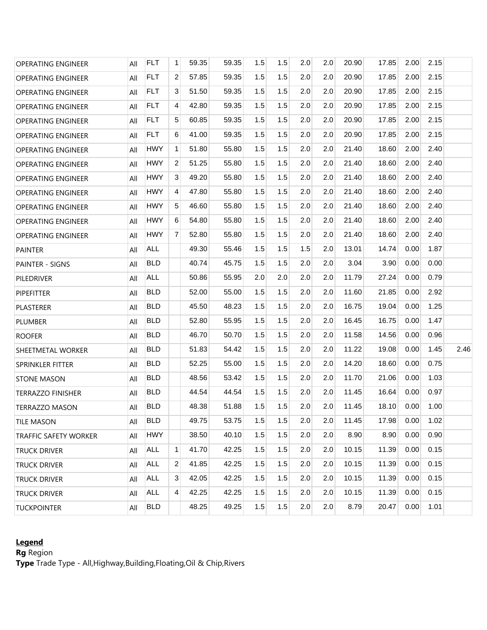| <b>OPERATING ENGINEER</b>    | All | <b>FLT</b> | 1              | 59.35 | 59.35 | 1.5 | 1.5 | 2.0 | 2.0 | 20.90 | 17.85 | 2.00 | 2.15 |      |
|------------------------------|-----|------------|----------------|-------|-------|-----|-----|-----|-----|-------|-------|------|------|------|
| <b>OPERATING ENGINEER</b>    | All | <b>FLT</b> | 2              | 57.85 | 59.35 | 1.5 | 1.5 | 2.0 | 2.0 | 20.90 | 17.85 | 2.00 | 2.15 |      |
| <b>OPERATING ENGINEER</b>    | All | <b>FLT</b> | 3              | 51.50 | 59.35 | 1.5 | 1.5 | 2.0 | 2.0 | 20.90 | 17.85 | 2.00 | 2.15 |      |
| <b>OPERATING ENGINEER</b>    | All | <b>FLT</b> | 4              | 42.80 | 59.35 | 1.5 | 1.5 | 2.0 | 2.0 | 20.90 | 17.85 | 2.00 | 2.15 |      |
| <b>OPERATING ENGINEER</b>    | All | <b>FLT</b> | 5              | 60.85 | 59.35 | 1.5 | 1.5 | 2.0 | 2.0 | 20.90 | 17.85 | 2.00 | 2.15 |      |
| <b>OPERATING ENGINEER</b>    | All | <b>FLT</b> | 6              | 41.00 | 59.35 | 1.5 | 1.5 | 2.0 | 2.0 | 20.90 | 17.85 | 2.00 | 2.15 |      |
| <b>OPERATING ENGINEER</b>    | All | <b>HWY</b> | $\mathbf{1}$   | 51.80 | 55.80 | 1.5 | 1.5 | 2.0 | 2.0 | 21.40 | 18.60 | 2.00 | 2.40 |      |
| <b>OPERATING ENGINEER</b>    | All | <b>HWY</b> | 2              | 51.25 | 55.80 | 1.5 | 1.5 | 2.0 | 2.0 | 21.40 | 18.60 | 2.00 | 2.40 |      |
| <b>OPERATING ENGINEER</b>    | All | <b>HWY</b> | 3              | 49.20 | 55.80 | 1.5 | 1.5 | 2.0 | 2.0 | 21.40 | 18.60 | 2.00 | 2.40 |      |
| <b>OPERATING ENGINEER</b>    | All | <b>HWY</b> | $\overline{4}$ | 47.80 | 55.80 | 1.5 | 1.5 | 2.0 | 2.0 | 21.40 | 18.60 | 2.00 | 2.40 |      |
| <b>OPERATING ENGINEER</b>    | All | <b>HWY</b> | 5              | 46.60 | 55.80 | 1.5 | 1.5 | 2.0 | 2.0 | 21.40 | 18.60 | 2.00 | 2.40 |      |
| <b>OPERATING ENGINEER</b>    | All | <b>HWY</b> | 6              | 54.80 | 55.80 | 1.5 | 1.5 | 2.0 | 2.0 | 21.40 | 18.60 | 2.00 | 2.40 |      |
| <b>OPERATING ENGINEER</b>    | All | <b>HWY</b> | $\overline{7}$ | 52.80 | 55.80 | 1.5 | 1.5 | 2.0 | 2.0 | 21.40 | 18.60 | 2.00 | 2.40 |      |
| <b>PAINTER</b>               | All | <b>ALL</b> |                | 49.30 | 55.46 | 1.5 | 1.5 | 1.5 | 2.0 | 13.01 | 14.74 | 0.00 | 1.87 |      |
| PAINTER - SIGNS              | All | <b>BLD</b> |                | 40.74 | 45.75 | 1.5 | 1.5 | 2.0 | 2.0 | 3.04  | 3.90  | 0.00 | 0.00 |      |
| PILEDRIVER                   | All | <b>ALL</b> |                | 50.86 | 55.95 | 2.0 | 2.0 | 2.0 | 2.0 | 11.79 | 27.24 | 0.00 | 0.79 |      |
| <b>PIPEFITTER</b>            | All | <b>BLD</b> |                | 52.00 | 55.00 | 1.5 | 1.5 | 2.0 | 2.0 | 11.60 | 21.85 | 0.00 | 2.92 |      |
| PLASTERER                    | All | <b>BLD</b> |                | 45.50 | 48.23 | 1.5 | 1.5 | 2.0 | 2.0 | 16.75 | 19.04 | 0.00 | 1.25 |      |
| <b>PLUMBER</b>               | All | <b>BLD</b> |                | 52.80 | 55.95 | 1.5 | 1.5 | 2.0 | 2.0 | 16.45 | 16.75 | 0.00 | 1.47 |      |
| <b>ROOFER</b>                | All | <b>BLD</b> |                | 46.70 | 50.70 | 1.5 | 1.5 | 2.0 | 2.0 | 11.58 | 14.56 | 0.00 | 0.96 |      |
| SHEETMETAL WORKER            | All | <b>BLD</b> |                | 51.83 | 54.42 | 1.5 | 1.5 | 2.0 | 2.0 | 11.22 | 19.08 | 0.00 | 1.45 | 2.46 |
| SPRINKLER FITTER             | All | <b>BLD</b> |                | 52.25 | 55.00 | 1.5 | 1.5 | 2.0 | 2.0 | 14.20 | 18.60 | 0.00 | 0.75 |      |
| <b>STONE MASON</b>           | All | <b>BLD</b> |                | 48.56 | 53.42 | 1.5 | 1.5 | 2.0 | 2.0 | 11.70 | 21.06 | 0.00 | 1.03 |      |
| TERRAZZO FINISHER            | All | <b>BLD</b> |                | 44.54 | 44.54 | 1.5 | 1.5 | 2.0 | 2.0 | 11.45 | 16.64 | 0.00 | 0.97 |      |
| <b>TERRAZZO MASON</b>        | All | <b>BLD</b> |                | 48.38 | 51.88 | 1.5 | 1.5 | 2.0 | 2.0 | 11.45 | 18.10 | 0.00 | 1.00 |      |
| <b>TILE MASON</b>            | All | <b>BLD</b> |                | 49.75 | 53.75 | 1.5 | 1.5 | 2.0 | 2.0 | 11.45 | 17.98 | 0.00 | 1.02 |      |
| <b>TRAFFIC SAFETY WORKER</b> | All | <b>HWY</b> |                | 38.50 | 40.10 | 1.5 | 1.5 | 2.0 | 2.0 | 8.90  | 8.90  | 0.00 | 0.90 |      |
| <b>TRUCK DRIVER</b>          | All | ALL        | $\mathbf{1}$   | 41.70 | 42.25 | 1.5 | 1.5 | 2.0 | 2.0 | 10.15 | 11.39 | 0.00 | 0.15 |      |
| <b>TRUCK DRIVER</b>          | All | <b>ALL</b> | 2              | 41.85 | 42.25 | 1.5 | 1.5 | 2.0 | 2.0 | 10.15 | 11.39 | 0.00 | 0.15 |      |
| <b>TRUCK DRIVER</b>          | All | ALL        | 3              | 42.05 | 42.25 | 1.5 | 1.5 | 2.0 | 2.0 | 10.15 | 11.39 | 0.00 | 0.15 |      |
| <b>TRUCK DRIVER</b>          | All | <b>ALL</b> | $\overline{4}$ | 42.25 | 42.25 | 1.5 | 1.5 | 2.0 | 2.0 | 10.15 | 11.39 | 0.00 | 0.15 |      |
| <b>TUCKPOINTER</b>           | All | <b>BLD</b> |                | 48.25 | 49.25 | 1.5 | 1.5 | 2.0 | 2.0 | 8.79  | 20.47 | 0.00 | 1.01 |      |

# **Legend**

**Rg** Region

**Type** Trade Type - All,Highway,Building,Floating,Oil & Chip,Rivers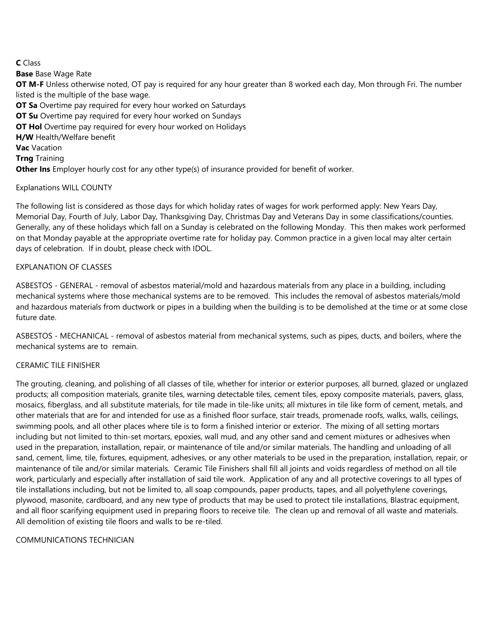## **C** Class

**Base** Base Wage Rate **OT M-F** Unless otherwise noted, OT pay is required for any hour greater than 8 worked each day, Mon through Fri. The number listed is the multiple of the base wage. **OT Sa** Overtime pay required for every hour worked on Saturdays **OT Su** Overtime pay required for every hour worked on Sundays **OT Hol** Overtime pay required for every hour worked on Holidays **H/W** Health/Welfare benefit **Vac** Vacation **Trng** Training **Other Ins** Employer hourly cost for any other type(s) of insurance provided for benefit of worker.

## Explanations WILL COUNTY

The following list is considered as those days for which holiday rates of wages for work performed apply: New Years Day, Memorial Day, Fourth of July, Labor Day, Thanksgiving Day, Christmas Day and Veterans Day in some classifications/counties. Generally, any of these holidays which fall on a Sunday is celebrated on the following Monday. This then makes work performed on that Monday payable at the appropriate overtime rate for holiday pay. Common practice in a given local may alter certain days of celebration. If in doubt, please check with IDOL.

### EXPLANATION OF CLASSES

ASBESTOS - GENERAL - removal of asbestos material/mold and hazardous materials from any place in a building, including mechanical systems where those mechanical systems are to be removed. This includes the removal of asbestos materials/mold and hazardous materials from ductwork or pipes in a building when the building is to be demolished at the time or at some close future date.

ASBESTOS - MECHANICAL - removal of asbestos material from mechanical systems, such as pipes, ducts, and boilers, where the mechanical systems are to remain.

### CERAMIC TILE FINISHER

The grouting, cleaning, and polishing of all classes of tile, whether for interior or exterior purposes, all burned, glazed or unglazed products; all composition materials, granite tiles, warning detectable tiles, cement tiles, epoxy composite materials, pavers, glass, mosaics, fiberglass, and all substitute materials, for tile made in tile-like units; all mixtures in tile like form of cement, metals, and other materials that are for and intended for use as a finished floor surface, stair treads, promenade roofs, walks, walls, ceilings, swimming pools, and all other places where tile is to form a finished interior or exterior. The mixing of all setting mortars including but not limited to thin-set mortars, epoxies, wall mud, and any other sand and cement mixtures or adhesives when used in the preparation, installation, repair, or maintenance of tile and/or similar materials. The handling and unloading of all sand, cement, lime, tile, fixtures, equipment, adhesives, or any other materials to be used in the preparation, installation, repair, or maintenance of tile and/or similar materials. Ceramic Tile Finishers shall fill all joints and voids regardless of method on all tile work, particularly and especially after installation of said tile work. Application of any and all protective coverings to all types of tile installations including, but not be limited to, all soap compounds, paper products, tapes, and all polyethylene coverings, plywood, masonite, cardboard, and any new type of products that may be used to protect tile installations, Blastrac equipment, and all floor scarifying equipment used in preparing floors to receive tile. The clean up and removal of all waste and materials. All demolition of existing tile floors and walls to be re-tiled.

COMMUNICATIONS TECHNICIAN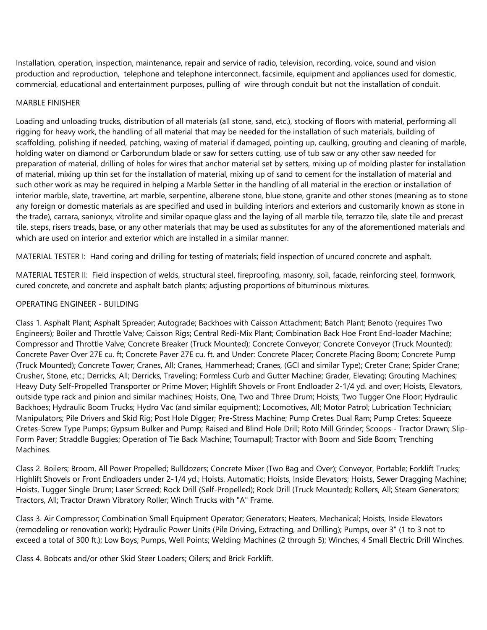Installation, operation, inspection, maintenance, repair and service of radio, television, recording, voice, sound and vision production and reproduction, telephone and telephone interconnect, facsimile, equipment and appliances used for domestic, commercial, educational and entertainment purposes, pulling of wire through conduit but not the installation of conduit.

#### MARBLE FINISHER

Loading and unloading trucks, distribution of all materials (all stone, sand, etc.), stocking of floors with material, performing all rigging for heavy work, the handling of all material that may be needed for the installation of such materials, building of scaffolding, polishing if needed, patching, waxing of material if damaged, pointing up, caulking, grouting and cleaning of marble, holding water on diamond or Carborundum blade or saw for setters cutting, use of tub saw or any other saw needed for preparation of material, drilling of holes for wires that anchor material set by setters, mixing up of molding plaster for installation of material, mixing up thin set for the installation of material, mixing up of sand to cement for the installation of material and such other work as may be required in helping a Marble Setter in the handling of all material in the erection or installation of interior marble, slate, travertine, art marble, serpentine, alberene stone, blue stone, granite and other stones (meaning as to stone any foreign or domestic materials as are specified and used in building interiors and exteriors and customarily known as stone in the trade), carrara, sanionyx, vitrolite and similar opaque glass and the laying of all marble tile, terrazzo tile, slate tile and precast tile, steps, risers treads, base, or any other materials that may be used as substitutes for any of the aforementioned materials and which are used on interior and exterior which are installed in a similar manner.

MATERIAL TESTER I: Hand coring and drilling for testing of materials; field inspection of uncured concrete and asphalt.

MATERIAL TESTER II: Field inspection of welds, structural steel, fireproofing, masonry, soil, facade, reinforcing steel, formwork, cured concrete, and concrete and asphalt batch plants; adjusting proportions of bituminous mixtures.

### OPERATING ENGINEER - BUILDING

Class 1. Asphalt Plant; Asphalt Spreader; Autograde; Backhoes with Caisson Attachment; Batch Plant; Benoto (requires Two Engineers); Boiler and Throttle Valve; Caisson Rigs; Central Redi-Mix Plant; Combination Back Hoe Front End-loader Machine; Compressor and Throttle Valve; Concrete Breaker (Truck Mounted); Concrete Conveyor; Concrete Conveyor (Truck Mounted); Concrete Paver Over 27E cu. ft; Concrete Paver 27E cu. ft. and Under: Concrete Placer; Concrete Placing Boom; Concrete Pump (Truck Mounted); Concrete Tower; Cranes, All; Cranes, Hammerhead; Cranes, (GCI and similar Type); Creter Crane; Spider Crane; Crusher, Stone, etc.; Derricks, All; Derricks, Traveling; Formless Curb and Gutter Machine; Grader, Elevating; Grouting Machines; Heavy Duty Self-Propelled Transporter or Prime Mover; Highlift Shovels or Front Endloader 2-1/4 yd. and over; Hoists, Elevators, outside type rack and pinion and similar machines; Hoists, One, Two and Three Drum; Hoists, Two Tugger One Floor; Hydraulic Backhoes; Hydraulic Boom Trucks; Hydro Vac (and similar equipment); Locomotives, All; Motor Patrol; Lubrication Technician; Manipulators; Pile Drivers and Skid Rig; Post Hole Digger; Pre-Stress Machine; Pump Cretes Dual Ram; Pump Cretes: Squeeze Cretes-Screw Type Pumps; Gypsum Bulker and Pump; Raised and Blind Hole Drill; Roto Mill Grinder; Scoops - Tractor Drawn; Slip-Form Paver; Straddle Buggies; Operation of Tie Back Machine; Tournapull; Tractor with Boom and Side Boom; Trenching Machines.

Class 2. Boilers; Broom, All Power Propelled; Bulldozers; Concrete Mixer (Two Bag and Over); Conveyor, Portable; Forklift Trucks; Highlift Shovels or Front Endloaders under 2-1/4 yd.; Hoists, Automatic; Hoists, Inside Elevators; Hoists, Sewer Dragging Machine; Hoists, Tugger Single Drum; Laser Screed; Rock Drill (Self-Propelled); Rock Drill (Truck Mounted); Rollers, All; Steam Generators; Tractors, All; Tractor Drawn Vibratory Roller; Winch Trucks with "A" Frame.

Class 3. Air Compressor; Combination Small Equipment Operator; Generators; Heaters, Mechanical; Hoists, Inside Elevators (remodeling or renovation work); Hydraulic Power Units (Pile Driving, Extracting, and Drilling); Pumps, over 3" (1 to 3 not to exceed a total of 300 ft.); Low Boys; Pumps, Well Points; Welding Machines (2 through 5); Winches, 4 Small Electric Drill Winches.

Class 4. Bobcats and/or other Skid Steer Loaders; Oilers; and Brick Forklift.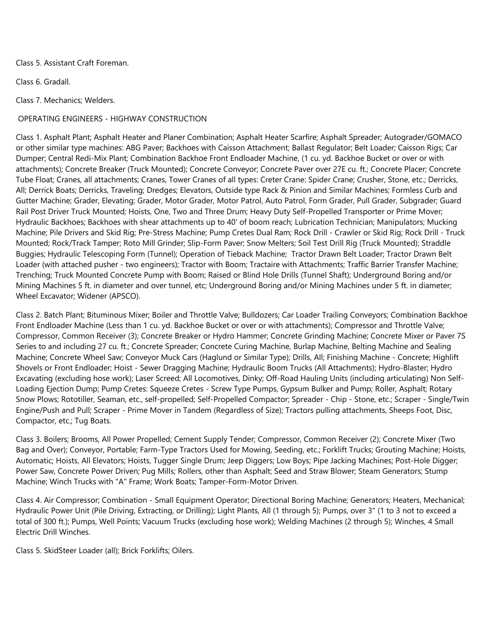Class 5. Assistant Craft Foreman.

Class 6. Gradall.

Class 7. Mechanics; Welders.

## OPERATING ENGINEERS - HIGHWAY CONSTRUCTION

Class 1. Asphalt Plant; Asphalt Heater and Planer Combination; Asphalt Heater Scarfire; Asphalt Spreader; Autograder/GOMACO or other similar type machines: ABG Paver; Backhoes with Caisson Attachment; Ballast Regulator; Belt Loader; Caisson Rigs; Car Dumper; Central Redi-Mix Plant; Combination Backhoe Front Endloader Machine, (1 cu. yd. Backhoe Bucket or over or with attachments); Concrete Breaker (Truck Mounted); Concrete Conveyor; Concrete Paver over 27E cu. ft.; Concrete Placer; Concrete Tube Float; Cranes, all attachments; Cranes, Tower Cranes of all types: Creter Crane: Spider Crane; Crusher, Stone, etc.; Derricks, All; Derrick Boats; Derricks, Traveling; Dredges; Elevators, Outside type Rack & Pinion and Similar Machines; Formless Curb and Gutter Machine; Grader, Elevating; Grader, Motor Grader, Motor Patrol, Auto Patrol, Form Grader, Pull Grader, Subgrader; Guard Rail Post Driver Truck Mounted; Hoists, One, Two and Three Drum; Heavy Duty Self-Propelled Transporter or Prime Mover; Hydraulic Backhoes; Backhoes with shear attachments up to 40' of boom reach; Lubrication Technician; Manipulators; Mucking Machine; Pile Drivers and Skid Rig; Pre-Stress Machine; Pump Cretes Dual Ram; Rock Drill - Crawler or Skid Rig; Rock Drill - Truck Mounted; Rock/Track Tamper; Roto Mill Grinder; Slip-Form Paver; Snow Melters; Soil Test Drill Rig (Truck Mounted); Straddle Buggies; Hydraulic Telescoping Form (Tunnel); Operation of Tieback Machine; Tractor Drawn Belt Loader; Tractor Drawn Belt Loader (with attached pusher - two engineers); Tractor with Boom; Tractaire with Attachments; Traffic Barrier Transfer Machine; Trenching; Truck Mounted Concrete Pump with Boom; Raised or Blind Hole Drills (Tunnel Shaft); Underground Boring and/or Mining Machines 5 ft. in diameter and over tunnel, etc; Underground Boring and/or Mining Machines under 5 ft. in diameter; Wheel Excavator; Widener (APSCO).

Class 2. Batch Plant; Bituminous Mixer; Boiler and Throttle Valve; Bulldozers; Car Loader Trailing Conveyors; Combination Backhoe Front Endloader Machine (Less than 1 cu. yd. Backhoe Bucket or over or with attachments); Compressor and Throttle Valve; Compressor, Common Receiver (3); Concrete Breaker or Hydro Hammer; Concrete Grinding Machine; Concrete Mixer or Paver 7S Series to and including 27 cu. ft.; Concrete Spreader; Concrete Curing Machine, Burlap Machine, Belting Machine and Sealing Machine; Concrete Wheel Saw; Conveyor Muck Cars (Haglund or Similar Type); Drills, All; Finishing Machine - Concrete; Highlift Shovels or Front Endloader; Hoist - Sewer Dragging Machine; Hydraulic Boom Trucks (All Attachments); Hydro-Blaster; Hydro Excavating (excluding hose work); Laser Screed; All Locomotives, Dinky; Off-Road Hauling Units (including articulating) Non Self-Loading Ejection Dump; Pump Cretes: Squeeze Cretes - Screw Type Pumps, Gypsum Bulker and Pump; Roller, Asphalt; Rotary Snow Plows; Rototiller, Seaman, etc., self-propelled; Self-Propelled Compactor; Spreader - Chip - Stone, etc.; Scraper - Single/Twin Engine/Push and Pull; Scraper - Prime Mover in Tandem (Regardless of Size); Tractors pulling attachments, Sheeps Foot, Disc, Compactor, etc.; Tug Boats.

Class 3. Boilers; Brooms, All Power Propelled; Cement Supply Tender; Compressor, Common Receiver (2); Concrete Mixer (Two Bag and Over); Conveyor, Portable; Farm-Type Tractors Used for Mowing, Seeding, etc.; Forklift Trucks; Grouting Machine; Hoists, Automatic; Hoists, All Elevators; Hoists, Tugger Single Drum; Jeep Diggers; Low Boys; Pipe Jacking Machines; Post-Hole Digger; Power Saw, Concrete Power Driven; Pug Mills; Rollers, other than Asphalt; Seed and Straw Blower; Steam Generators; Stump Machine; Winch Trucks with "A" Frame; Work Boats; Tamper-Form-Motor Driven.

Class 4. Air Compressor; Combination - Small Equipment Operator; Directional Boring Machine; Generators; Heaters, Mechanical; Hydraulic Power Unit (Pile Driving, Extracting, or Drilling); Light Plants, All (1 through 5); Pumps, over 3" (1 to 3 not to exceed a total of 300 ft.); Pumps, Well Points; Vacuum Trucks (excluding hose work); Welding Machines (2 through 5); Winches, 4 Small Electric Drill Winches.

Class 5. SkidSteer Loader (all); Brick Forklifts; Oilers.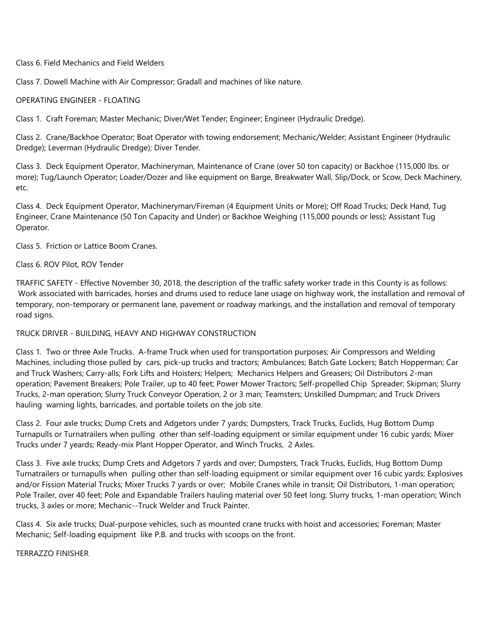Class 6. Field Mechanics and Field Welders

Class 7. Dowell Machine with Air Compressor; Gradall and machines of like nature.

#### OPERATING ENGINEER - FLOATING

Class 1. Craft Foreman; Master Mechanic; Diver/Wet Tender; Engineer; Engineer (Hydraulic Dredge).

Class 2. Crane/Backhoe Operator; Boat Operator with towing endorsement; Mechanic/Welder; Assistant Engineer (Hydraulic Dredge); Leverman (Hydraulic Dredge); Diver Tender.

Class 3. Deck Equipment Operator, Machineryman, Maintenance of Crane (over 50 ton capacity) or Backhoe (115,000 lbs. or more); Tug/Launch Operator; Loader/Dozer and like equipment on Barge, Breakwater Wall, Slip/Dock, or Scow, Deck Machinery, etc.

Class 4. Deck Equipment Operator, Machineryman/Fireman (4 Equipment Units or More); Off Road Trucks; Deck Hand, Tug Engineer, Crane Maintenance (50 Ton Capacity and Under) or Backhoe Weighing (115,000 pounds or less); Assistant Tug Operator.

Class 5. Friction or Lattice Boom Cranes.

#### Class 6. ROV Pilot, ROV Tender

TRAFFIC SAFETY - Effective November 30, 2018, the description of the traffic safety worker trade in this County is as follows: Work associated with barricades, horses and drums used to reduce lane usage on highway work, the installation and removal of temporary, non-temporary or permanent lane, pavement or roadway markings, and the installation and removal of temporary road signs.

#### TRUCK DRIVER - BUILDING, HEAVY AND HIGHWAY CONSTRUCTION

Class 1. Two or three Axle Trucks. A-frame Truck when used for transportation purposes; Air Compressors and Welding Machines, including those pulled by cars, pick-up trucks and tractors; Ambulances; Batch Gate Lockers; Batch Hopperman; Car and Truck Washers; Carry-alls; Fork Lifts and Hoisters; Helpers; Mechanics Helpers and Greasers; Oil Distributors 2-man operation; Pavement Breakers; Pole Trailer, up to 40 feet; Power Mower Tractors; Self-propelled Chip Spreader; Skipman; Slurry Trucks, 2-man operation; Slurry Truck Conveyor Operation, 2 or 3 man; Teamsters; Unskilled Dumpman; and Truck Drivers hauling warning lights, barricades, and portable toilets on the job site.

Class 2. Four axle trucks; Dump Crets and Adgetors under 7 yards; Dumpsters, Track Trucks, Euclids, Hug Bottom Dump Turnapulls or Turnatrailers when pulling other than self-loading equipment or similar equipment under 16 cubic yards; Mixer Trucks under 7 yeards; Ready-mix Plant Hopper Operator, and Winch Trucks, 2 Axles.

Class 3. Five axle trucks; Dump Crets and Adgetors 7 yards and over; Dumpsters, Track Trucks, Euclids, Hug Bottom Dump Turnatrailers or turnapulls when pulling other than self-loading equipment or similar equipment over 16 cubic yards; Explosives and/or Fission Material Trucks; Mixer Trucks 7 yards or over; Mobile Cranes while in transit; Oil Distributors, 1-man operation; Pole Trailer, over 40 feet; Pole and Expandable Trailers hauling material over 50 feet long; Slurry trucks, 1-man operation; Winch trucks, 3 axles or more; Mechanic--Truck Welder and Truck Painter.

Class 4. Six axle trucks; Dual-purpose vehicles, such as mounted crane trucks with hoist and accessories; Foreman; Master Mechanic; Self-loading equipment like P.B. and trucks with scoops on the front.

TERRAZZO FINISHER